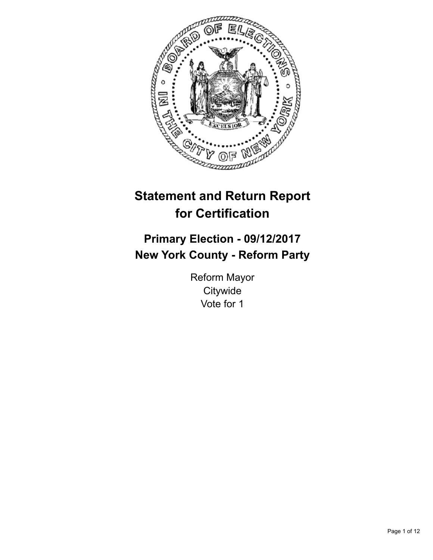

# **Statement and Return Report for Certification**

## **Primary Election - 09/12/2017 New York County - Reform Party**

Reform Mayor **Citywide** Vote for 1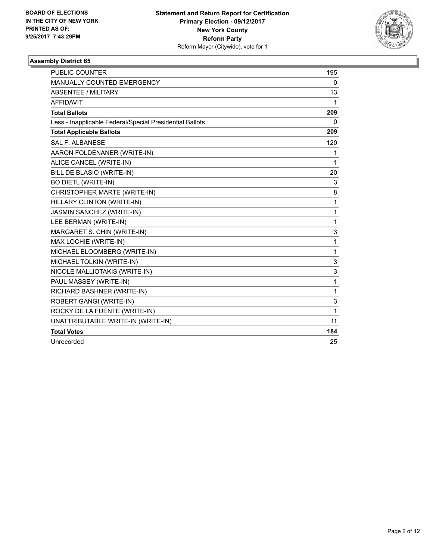

| <b>PUBLIC COUNTER</b>                                    | 195          |
|----------------------------------------------------------|--------------|
| <b>MANUALLY COUNTED EMERGENCY</b>                        | $\mathbf{0}$ |
| <b>ABSENTEE / MILITARY</b>                               | 13           |
| <b>AFFIDAVIT</b>                                         | 1            |
| <b>Total Ballots</b>                                     | 209          |
| Less - Inapplicable Federal/Special Presidential Ballots | 0            |
| <b>Total Applicable Ballots</b>                          | 209          |
| <b>SAL F. ALBANESE</b>                                   | 120          |
| AARON FOLDENANER (WRITE-IN)                              | 1            |
| ALICE CANCEL (WRITE-IN)                                  | 1            |
| BILL DE BLASIO (WRITE-IN)                                | 20           |
| <b>BO DIETL (WRITE-IN)</b>                               | 3            |
| CHRISTOPHER MARTE (WRITE-IN)                             | 8            |
| HILLARY CLINTON (WRITE-IN)                               | 1            |
| <b>JASMIN SANCHEZ (WRITE-IN)</b>                         | 1            |
| LEE BERMAN (WRITE-IN)                                    | 1            |
| MARGARET S. CHIN (WRITE-IN)                              | 3            |
| MAX LOCHIE (WRITE-IN)                                    | 1            |
| MICHAEL BLOOMBERG (WRITE-IN)                             | 1            |
| MICHAEL TOLKIN (WRITE-IN)                                | 3            |
| NICOLE MALLIOTAKIS (WRITE-IN)                            | 3            |
| PAUL MASSEY (WRITE-IN)                                   | 1            |
| RICHARD BASHNER (WRITE-IN)                               | 1            |
| ROBERT GANGI (WRITE-IN)                                  | 3            |
| ROCKY DE LA FUENTE (WRITE-IN)                            | 1            |
| UNATTRIBUTABLE WRITE-IN (WRITE-IN)                       | 11           |
| <b>Total Votes</b>                                       | 184          |
| Unrecorded                                               | 25           |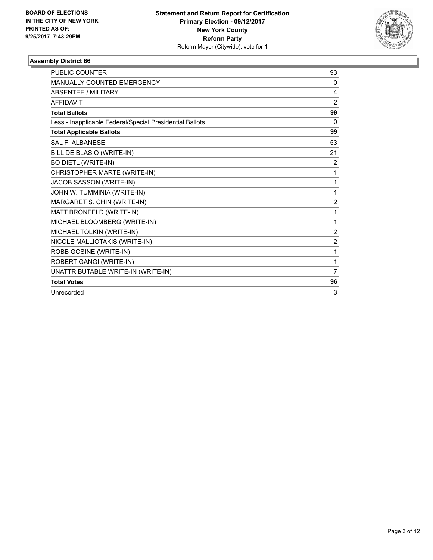

| <b>PUBLIC COUNTER</b>                                    | 93             |
|----------------------------------------------------------|----------------|
| <b>MANUALLY COUNTED EMERGENCY</b>                        | 0              |
| <b>ABSENTEE / MILITARY</b>                               | 4              |
| <b>AFFIDAVIT</b>                                         | $\overline{2}$ |
| <b>Total Ballots</b>                                     | 99             |
| Less - Inapplicable Federal/Special Presidential Ballots | $\Omega$       |
| <b>Total Applicable Ballots</b>                          | 99             |
| <b>SAL F. ALBANESE</b>                                   | 53             |
| BILL DE BLASIO (WRITE-IN)                                | 21             |
| <b>BO DIETL (WRITE-IN)</b>                               | $\overline{2}$ |
| CHRISTOPHER MARTE (WRITE-IN)                             | 1              |
| JACOB SASSON (WRITE-IN)                                  | 1              |
| JOHN W. TUMMINIA (WRITE-IN)                              | 1              |
| MARGARET S. CHIN (WRITE-IN)                              | $\overline{2}$ |
| MATT BRONFELD (WRITE-IN)                                 | 1              |
| MICHAEL BLOOMBERG (WRITE-IN)                             | 1              |
| MICHAEL TOLKIN (WRITE-IN)                                | $\overline{2}$ |
| NICOLE MALLIOTAKIS (WRITE-IN)                            | 2              |
| ROBB GOSINE (WRITE-IN)                                   | 1              |
| ROBERT GANGI (WRITE-IN)                                  | 1              |
| UNATTRIBUTABLE WRITE-IN (WRITE-IN)                       | 7              |
| <b>Total Votes</b>                                       | 96             |
| Unrecorded                                               | 3              |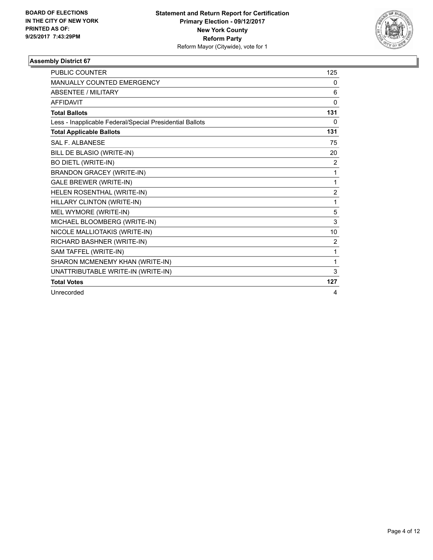

| <b>PUBLIC COUNTER</b>                                    | 125            |
|----------------------------------------------------------|----------------|
| <b>MANUALLY COUNTED EMERGENCY</b>                        | 0              |
| <b>ABSENTEE / MILITARY</b>                               | 6              |
| <b>AFFIDAVIT</b>                                         | $\mathbf{0}$   |
| <b>Total Ballots</b>                                     | 131            |
| Less - Inapplicable Federal/Special Presidential Ballots | 0              |
| <b>Total Applicable Ballots</b>                          | 131            |
| SAI F. AI BANESE                                         | 75             |
| BILL DE BLASIO (WRITE-IN)                                | 20             |
| <b>BO DIETL (WRITE-IN)</b>                               | 2              |
| <b>BRANDON GRACEY (WRITE-IN)</b>                         | $\mathbf{1}$   |
| <b>GALE BREWER (WRITE-IN)</b>                            | $\mathbf{1}$   |
| HELEN ROSENTHAL (WRITE-IN)                               | $\overline{2}$ |
| HILLARY CLINTON (WRITE-IN)                               | 1              |
| MEL WYMORE (WRITE-IN)                                    | 5              |
| MICHAEL BLOOMBERG (WRITE-IN)                             | 3              |
| NICOLE MALLIOTAKIS (WRITE-IN)                            | 10             |
| RICHARD BASHNER (WRITE-IN)                               | 2              |
| SAM TAFFEL (WRITE-IN)                                    | 1              |
| SHARON MCMENEMY KHAN (WRITE-IN)                          | 1              |
| UNATTRIBUTABLE WRITE-IN (WRITE-IN)                       | 3              |
| <b>Total Votes</b>                                       | 127            |
| Unrecorded                                               | 4              |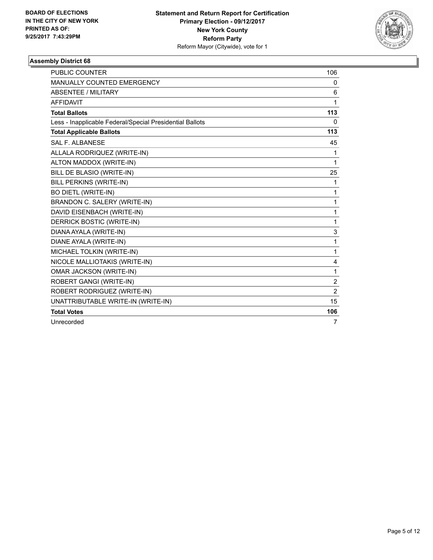

| <b>PUBLIC COUNTER</b>                                    | 106            |
|----------------------------------------------------------|----------------|
| MANUALLY COUNTED EMERGENCY                               | 0              |
| <b>ABSENTEE / MILITARY</b>                               | 6              |
| <b>AFFIDAVIT</b>                                         | 1              |
| <b>Total Ballots</b>                                     | 113            |
| Less - Inapplicable Federal/Special Presidential Ballots | $\Omega$       |
| <b>Total Applicable Ballots</b>                          | 113            |
| SAL F. ALBANESE                                          | 45             |
| ALLALA RODRIQUEZ (WRITE-IN)                              | 1              |
| ALTON MADDOX (WRITE-IN)                                  | 1              |
| BILL DE BLASIO (WRITE-IN)                                | 25             |
| BILL PERKINS (WRITE-IN)                                  | 1              |
| <b>BO DIETL (WRITE-IN)</b>                               | 1              |
| BRANDON C. SALERY (WRITE-IN)                             | 1              |
| DAVID EISENBACH (WRITE-IN)                               | 1              |
| DERRICK BOSTIC (WRITE-IN)                                | 1              |
| DIANA AYALA (WRITE-IN)                                   | 3              |
| DIANE AYALA (WRITE-IN)                                   | 1              |
| MICHAEL TOLKIN (WRITE-IN)                                | 1              |
| NICOLE MALLIOTAKIS (WRITE-IN)                            | 4              |
| <b>OMAR JACKSON (WRITE-IN)</b>                           | 1              |
| ROBERT GANGI (WRITE-IN)                                  | $\overline{2}$ |
| ROBERT RODRIGUEZ (WRITE-IN)                              | $\overline{2}$ |
| UNATTRIBUTABLE WRITE-IN (WRITE-IN)                       | 15             |
| <b>Total Votes</b>                                       | 106            |
| Unrecorded                                               | 7              |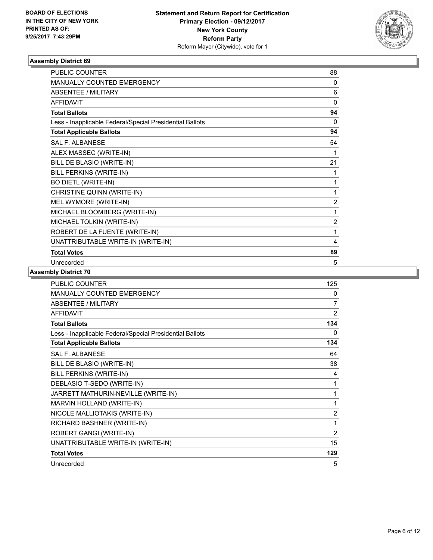

| <b>PUBLIC COUNTER</b>                                    | 88             |
|----------------------------------------------------------|----------------|
| <b>MANUALLY COUNTED EMERGENCY</b>                        | 0              |
| <b>ABSENTEE / MILITARY</b>                               | 6              |
| <b>AFFIDAVIT</b>                                         | $\Omega$       |
| <b>Total Ballots</b>                                     | 94             |
| Less - Inapplicable Federal/Special Presidential Ballots | $\Omega$       |
| <b>Total Applicable Ballots</b>                          | 94             |
| <b>SAL F. ALBANESE</b>                                   | 54             |
| ALEX MASSEC (WRITE-IN)                                   | 1              |
| BILL DE BLASIO (WRITE-IN)                                | 21             |
| BILL PERKINS (WRITE-IN)                                  | 1              |
| <b>BO DIETL (WRITE-IN)</b>                               | 1              |
| CHRISTINE QUINN (WRITE-IN)                               | 1              |
| MEL WYMORE (WRITE-IN)                                    | $\overline{2}$ |
| MICHAEL BLOOMBERG (WRITE-IN)                             | 1              |
| MICHAEL TOLKIN (WRITE-IN)                                | $\overline{2}$ |
| ROBERT DE LA FUENTE (WRITE-IN)                           | 1              |
| UNATTRIBUTABLE WRITE-IN (WRITE-IN)                       | 4              |
| <b>Total Votes</b>                                       | 89             |
| Unrecorded                                               | 5              |

| <b>PUBLIC COUNTER</b>                                    | 125 |
|----------------------------------------------------------|-----|
| MANUALLY COUNTED EMERGENCY                               | 0   |
| ABSENTEE / MILITARY                                      | 7   |
| <b>AFFIDAVIT</b>                                         | 2   |
| <b>Total Ballots</b>                                     | 134 |
| Less - Inapplicable Federal/Special Presidential Ballots | 0   |
| <b>Total Applicable Ballots</b>                          | 134 |
| <b>SAL F. ALBANESE</b>                                   | 64  |
| BILL DE BLASIO (WRITE-IN)                                | 38  |
| BILL PERKINS (WRITE-IN)                                  | 4   |
| DEBLASIO T-SEDO (WRITE-IN)                               | 1   |
| JARRETT MATHURIN-NEVILLE (WRITE-IN)                      | 1   |
| MARVIN HOLLAND (WRITE-IN)                                | 1   |
| NICOLE MALLIOTAKIS (WRITE-IN)                            | 2   |
| RICHARD BASHNER (WRITE-IN)                               | 1   |
| ROBERT GANGI (WRITE-IN)                                  | 2   |
| UNATTRIBUTABLE WRITE-IN (WRITE-IN)                       | 15  |
| <b>Total Votes</b>                                       | 129 |
| Unrecorded                                               | 5   |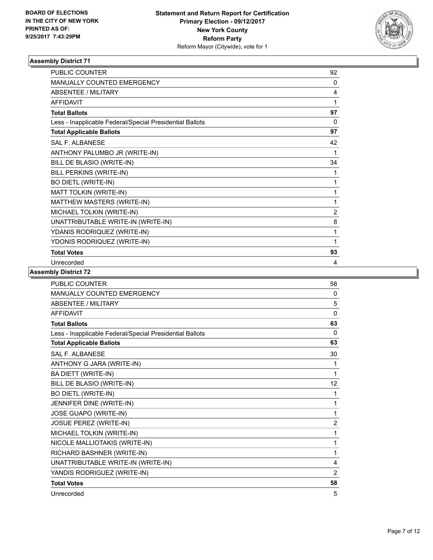

| <b>PUBLIC COUNTER</b>                                    | 92             |
|----------------------------------------------------------|----------------|
| MANUALLY COUNTED EMERGENCY                               | $\mathbf{0}$   |
| <b>ABSENTEE / MILITARY</b>                               | 4              |
| <b>AFFIDAVIT</b>                                         | 1              |
| <b>Total Ballots</b>                                     | 97             |
| Less - Inapplicable Federal/Special Presidential Ballots | $\Omega$       |
| <b>Total Applicable Ballots</b>                          | 97             |
| <b>SAL F. ALBANESE</b>                                   | 42             |
| ANTHONY PALUMBO JR (WRITE-IN)                            | 1              |
| BILL DE BLASIO (WRITE-IN)                                | 34             |
| BILL PERKINS (WRITE-IN)                                  | 1              |
| <b>BO DIETL (WRITE-IN)</b>                               | 1              |
| MATT TOLKIN (WRITE-IN)                                   | 1              |
| MATTHEW MASTERS (WRITE-IN)                               | 1              |
| MICHAEL TOLKIN (WRITE-IN)                                | $\overline{2}$ |
| UNATTRIBUTABLE WRITE-IN (WRITE-IN)                       | 8              |
| YDANIS RODRIQUEZ (WRITE-IN)                              | 1              |
| YDONIS RODRIQUEZ (WRITE-IN)                              | 1              |
| <b>Total Votes</b>                                       | 93             |
| Unrecorded                                               | 4              |

| <b>PUBLIC COUNTER</b>                                    | 58             |
|----------------------------------------------------------|----------------|
| MANUALLY COUNTED EMERGENCY                               | 0              |
| <b>ABSENTEE / MILITARY</b>                               | 5              |
| <b>AFFIDAVIT</b>                                         | 0              |
| <b>Total Ballots</b>                                     | 63             |
| Less - Inapplicable Federal/Special Presidential Ballots | 0              |
| <b>Total Applicable Ballots</b>                          | 63             |
| <b>SAL F. ALBANESE</b>                                   | 30             |
| ANTHONY G JARA (WRITE-IN)                                | 1              |
| BA DIETT (WRITE-IN)                                      | 1              |
| BILL DE BLASIO (WRITE-IN)                                | 12             |
| <b>BO DIETL (WRITE-IN)</b>                               | 1              |
| JENNIFER DINE (WRITE-IN)                                 | 1              |
| JOSE GUAPO (WRITE-IN)                                    | 1              |
| <b>JOSUE PEREZ (WRITE-IN)</b>                            | $\overline{2}$ |
| MICHAEL TOLKIN (WRITE-IN)                                | 1              |
| NICOLE MALLIOTAKIS (WRITE-IN)                            | 1              |
| RICHARD BASHNER (WRITE-IN)                               | 1              |
| UNATTRIBUTABLE WRITE-IN (WRITE-IN)                       | 4              |
| YANDIS RODRIGUEZ (WRITE-IN)                              | 2              |
| <b>Total Votes</b>                                       | 58             |
| Unrecorded                                               | 5              |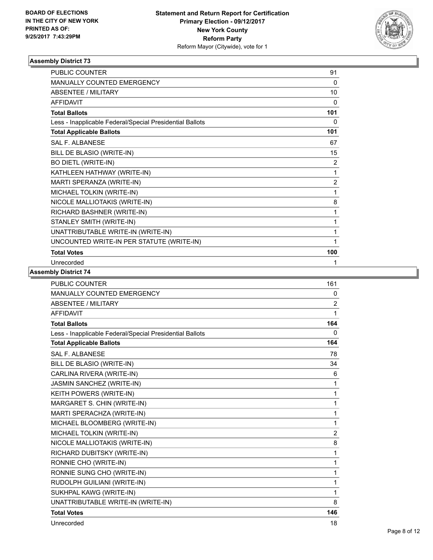

| <b>PUBLIC COUNTER</b>                                    | 91             |
|----------------------------------------------------------|----------------|
| <b>MANUALLY COUNTED EMERGENCY</b>                        | 0              |
| <b>ABSENTEE / MILITARY</b>                               | 10             |
| <b>AFFIDAVIT</b>                                         | $\mathbf{0}$   |
| <b>Total Ballots</b>                                     | 101            |
| Less - Inapplicable Federal/Special Presidential Ballots | 0              |
| <b>Total Applicable Ballots</b>                          | 101            |
| SAI F. AI BANESE                                         | 67             |
| BILL DE BLASIO (WRITE-IN)                                | 15             |
| <b>BO DIETL (WRITE-IN)</b>                               | 2              |
| KATHLEEN HATHWAY (WRITE-IN)                              | 1              |
| MARTI SPERANZA (WRITE-IN)                                | $\overline{2}$ |
| MICHAEL TOLKIN (WRITE-IN)                                | 1              |
| NICOLE MALLIOTAKIS (WRITE-IN)                            | 8              |
| RICHARD BASHNER (WRITE-IN)                               | 1              |
| STANLEY SMITH (WRITE-IN)                                 | 1              |
| UNATTRIBUTABLE WRITE-IN (WRITE-IN)                       | 1              |
| UNCOUNTED WRITE-IN PER STATUTE (WRITE-IN)                | 1              |
| <b>Total Votes</b>                                       | 100            |
| Unrecorded                                               | 1              |

| PUBLIC COUNTER                                           | 161            |
|----------------------------------------------------------|----------------|
| <b>MANUALLY COUNTED EMERGENCY</b>                        | 0              |
| <b>ABSENTEE / MILITARY</b>                               | $\overline{2}$ |
| <b>AFFIDAVIT</b>                                         | 1              |
| <b>Total Ballots</b>                                     | 164            |
| Less - Inapplicable Federal/Special Presidential Ballots | 0              |
| <b>Total Applicable Ballots</b>                          | 164            |
| SAI F. AI BANESE                                         | 78             |
| BILL DE BLASIO (WRITE-IN)                                | 34             |
| CARLINA RIVERA (WRITE-IN)                                | 6              |
| JASMIN SANCHEZ (WRITE-IN)                                | 1              |
| KEITH POWERS (WRITE-IN)                                  | 1              |
| MARGARET S. CHIN (WRITE-IN)                              | 1              |
| MARTI SPERACHZA (WRITE-IN)                               | 1              |
| MICHAEL BLOOMBERG (WRITE-IN)                             | 1              |
| MICHAEL TOLKIN (WRITE-IN)                                | $\overline{2}$ |
| NICOLE MALLIOTAKIS (WRITE-IN)                            | 8              |
| RICHARD DUBITSKY (WRITE-IN)                              | 1              |
| RONNIE CHO (WRITE-IN)                                    | 1              |
| RONNIE SUNG CHO (WRITE-IN)                               | 1              |
| RUDOLPH GUILIANI (WRITE-IN)                              | 1              |
| SUKHPAL KAWG (WRITE-IN)                                  | 1              |
| UNATTRIBUTABLE WRITE-IN (WRITE-IN)                       | 8              |
| <b>Total Votes</b>                                       | 146            |
| Unrecorded                                               | 18             |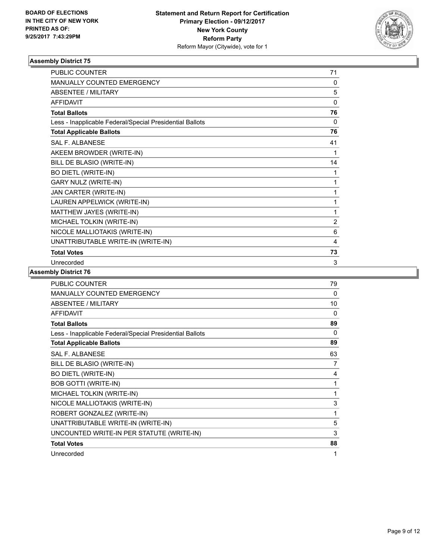

| <b>PUBLIC COUNTER</b>                                    | 71             |
|----------------------------------------------------------|----------------|
| <b>MANUALLY COUNTED EMERGENCY</b>                        | 0              |
| <b>ABSENTEE / MILITARY</b>                               | 5              |
| <b>AFFIDAVIT</b>                                         | $\Omega$       |
| <b>Total Ballots</b>                                     | 76             |
| Less - Inapplicable Federal/Special Presidential Ballots | $\mathbf 0$    |
| <b>Total Applicable Ballots</b>                          | 76             |
| SAI F. AI BANESE                                         | 41             |
| AKEEM BROWDER (WRITE-IN)                                 | 1              |
| BILL DE BLASIO (WRITE-IN)                                | 14             |
| <b>BO DIETL (WRITE-IN)</b>                               | 1              |
| <b>GARY NULZ (WRITE-IN)</b>                              | 1              |
| JAN CARTER (WRITE-IN)                                    | 1              |
| LAUREN APPELWICK (WRITE-IN)                              | 1              |
| MATTHEW JAYES (WRITE-IN)                                 | 1              |
| MICHAEL TOLKIN (WRITE-IN)                                | $\overline{2}$ |
| NICOLE MALLIOTAKIS (WRITE-IN)                            | 6              |
| UNATTRIBUTABLE WRITE-IN (WRITE-IN)                       | 4              |
| <b>Total Votes</b>                                       | 73             |
| Unrecorded                                               | 3              |

| <b>PUBLIC COUNTER</b>                                    | 79 |
|----------------------------------------------------------|----|
| <b>MANUALLY COUNTED EMERGENCY</b>                        | 0  |
| <b>ABSENTEE / MILITARY</b>                               | 10 |
| <b>AFFIDAVIT</b>                                         | 0  |
| <b>Total Ballots</b>                                     | 89 |
| Less - Inapplicable Federal/Special Presidential Ballots | 0  |
| <b>Total Applicable Ballots</b>                          | 89 |
| <b>SAL F. ALBANESE</b>                                   | 63 |
| BILL DE BLASIO (WRITE-IN)                                | 7  |
| <b>BO DIETL (WRITE-IN)</b>                               | 4  |
| <b>BOB GOTTI (WRITE-IN)</b>                              | 1  |
| MICHAEL TOLKIN (WRITE-IN)                                | 1  |
| NICOLE MALLIOTAKIS (WRITE-IN)                            | 3  |
| ROBERT GONZALEZ (WRITE-IN)                               | 1  |
| UNATTRIBUTABLE WRITE-IN (WRITE-IN)                       | 5  |
| UNCOUNTED WRITE-IN PER STATUTE (WRITE-IN)                | 3  |
| <b>Total Votes</b>                                       | 88 |
| Unrecorded                                               | 1  |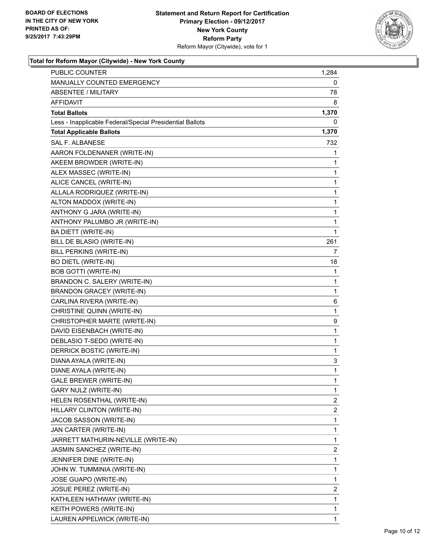

#### **Total for Reform Mayor (Citywide) - New York County**

| <b>PUBLIC COUNTER</b>                                    | 1,284 |
|----------------------------------------------------------|-------|
| MANUALLY COUNTED EMERGENCY                               | 0     |
| <b>ABSENTEE / MILITARY</b>                               | 78    |
| AFFIDAVIT                                                | 8     |
| <b>Total Ballots</b>                                     | 1,370 |
| Less - Inapplicable Federal/Special Presidential Ballots | 0     |
| <b>Total Applicable Ballots</b>                          | 1,370 |
| <b>SAL F. ALBANESE</b>                                   | 732   |
| AARON FOLDENANER (WRITE-IN)                              | 1     |
| AKEEM BROWDER (WRITE-IN)                                 | 1     |
| ALEX MASSEC (WRITE-IN)                                   | 1     |
| ALICE CANCEL (WRITE-IN)                                  | 1     |
| ALLALA RODRIQUEZ (WRITE-IN)                              | 1     |
| ALTON MADDOX (WRITE-IN)                                  | 1     |
| ANTHONY G JARA (WRITE-IN)                                | 1     |
| ANTHONY PALUMBO JR (WRITE-IN)                            | 1     |
| BA DIETT (WRITE-IN)                                      | 1     |
| BILL DE BLASIO (WRITE-IN)                                | 261   |
| BILL PERKINS (WRITE-IN)                                  | 7     |
| <b>BO DIETL (WRITE-IN)</b>                               | 18    |
| <b>BOB GOTTI (WRITE-IN)</b>                              | 1     |
| BRANDON C. SALERY (WRITE-IN)                             | 1     |
| <b>BRANDON GRACEY (WRITE-IN)</b>                         | 1     |
| CARLINA RIVERA (WRITE-IN)                                | 6     |
| CHRISTINE QUINN (WRITE-IN)                               | 1     |
| CHRISTOPHER MARTE (WRITE-IN)                             | 9     |
| DAVID EISENBACH (WRITE-IN)                               | 1     |
| DEBLASIO T-SEDO (WRITE-IN)                               | 1     |
| DERRICK BOSTIC (WRITE-IN)                                | 1     |
| DIANA AYALA (WRITE-IN)                                   | 3     |
| DIANE AYALA (WRITE-IN)                                   | 1     |
| <b>GALE BREWER (WRITE-IN)</b>                            | 1     |
| GARY NULZ (WRITE-IN)                                     | 1     |
| HELEN ROSENTHAL (WRITE-IN)                               | 2     |
| HILLARY CLINTON (WRITE-IN)                               | 2     |
| JACOB SASSON (WRITE-IN)                                  | 1     |
| JAN CARTER (WRITE-IN)                                    | 1     |
| JARRETT MATHURIN-NEVILLE (WRITE-IN)                      | 1     |
| JASMIN SANCHEZ (WRITE-IN)                                | 2     |
| JENNIFER DINE (WRITE-IN)                                 | 1     |
| JOHN W. TUMMINIA (WRITE-IN)                              | 1     |
| JOSE GUAPO (WRITE-IN)                                    | 1     |
| JOSUE PEREZ (WRITE-IN)                                   | 2     |
| KATHLEEN HATHWAY (WRITE-IN)                              | 1     |
| KEITH POWERS (WRITE-IN)                                  | 1     |
| LAUREN APPELWICK (WRITE-IN)                              | 1     |
|                                                          |       |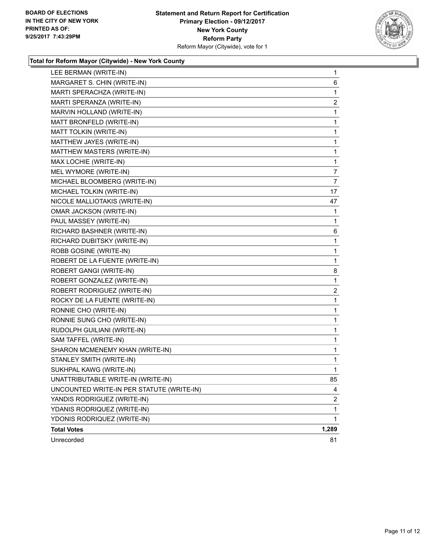

#### **Total for Reform Mayor (Citywide) - New York County**

| LEE BERMAN (WRITE-IN)                     | 1     |
|-------------------------------------------|-------|
| MARGARET S. CHIN (WRITE-IN)               | 6     |
| MARTI SPERACHZA (WRITE-IN)                | 1     |
| MARTI SPERANZA (WRITE-IN)                 | 2     |
| MARVIN HOLLAND (WRITE-IN)                 | 1     |
| MATT BRONFELD (WRITE-IN)                  | 1     |
| MATT TOLKIN (WRITE-IN)                    | 1     |
| MATTHEW JAYES (WRITE-IN)                  | 1     |
| MATTHEW MASTERS (WRITE-IN)                | 1     |
| MAX LOCHIE (WRITE-IN)                     | 1     |
| MEL WYMORE (WRITE-IN)                     | 7     |
| MICHAEL BLOOMBERG (WRITE-IN)              | 7     |
| MICHAEL TOLKIN (WRITE-IN)                 | 17    |
| NICOLE MALLIOTAKIS (WRITE-IN)             | 47    |
| OMAR JACKSON (WRITE-IN)                   | 1     |
| PAUL MASSEY (WRITE-IN)                    | 1     |
| RICHARD BASHNER (WRITE-IN)                | 6     |
| RICHARD DUBITSKY (WRITE-IN)               | 1     |
| ROBB GOSINE (WRITE-IN)                    | 1     |
| ROBERT DE LA FUENTE (WRITE-IN)            | 1     |
| ROBERT GANGI (WRITE-IN)                   | 8     |
| ROBERT GONZALEZ (WRITE-IN)                | 1     |
| ROBERT RODRIGUEZ (WRITE-IN)               | 2     |
| ROCKY DE LA FUENTE (WRITE-IN)             | 1     |
| RONNIE CHO (WRITE-IN)                     | 1     |
| RONNIE SUNG CHO (WRITE-IN)                | 1     |
| RUDOLPH GUILIANI (WRITE-IN)               | 1     |
| SAM TAFFEL (WRITE-IN)                     | 1     |
| SHARON MCMENEMY KHAN (WRITE-IN)           | 1     |
| STANLEY SMITH (WRITE-IN)                  | 1     |
| SUKHPAL KAWG (WRITE-IN)                   | 1     |
| UNATTRIBUTABLE WRITE-IN (WRITE-IN)        | 85    |
| UNCOUNTED WRITE-IN PER STATUTE (WRITE-IN) | 4     |
| YANDIS RODRIGUEZ (WRITE-IN)               | 2     |
| YDANIS RODRIQUEZ (WRITE-IN)               | 1     |
| YDONIS RODRIQUEZ (WRITE-IN)               | 1     |
| <b>Total Votes</b>                        | 1,289 |
| Unrecorded                                | 81    |